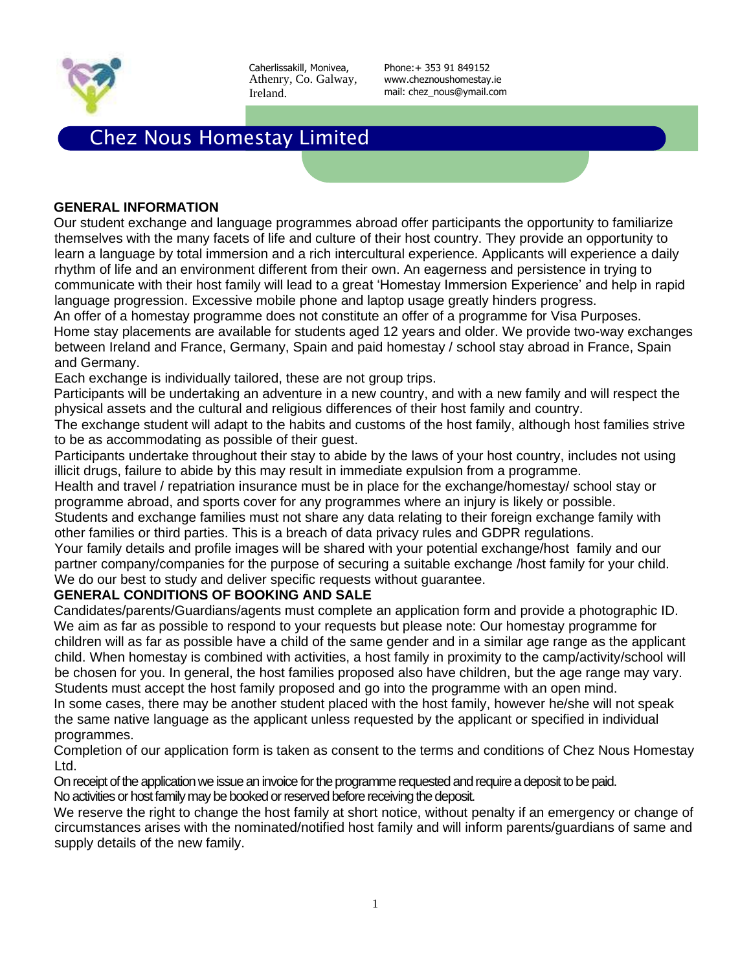

Phone:+ 353 91 849152 www.cheznoushomestay.ie mail: chez\_nous@ymail.com

# Chez Nous Homestay Limited

#### **GENERAL INFORMATION**

Our student exchange and language programmes abroad offer participants the opportunity to familiarize themselves with the many facets of life and culture of their host country. They provide an opportunity to learn a language by total immersion and a rich intercultural experience. Applicants will experience a daily rhythm of life and an environment different from their own. An eagerness and persistence in trying to communicate with their host family will lead to a great 'Homestay Immersion Experience' and help in rapid language progression. Excessive mobile phone and laptop usage greatly hinders progress.

An offer of a homestay programme does not constitute an offer of a programme for Visa Purposes. Home stay placements are available for students aged 12 years and older. We provide two-way exchanges between Ireland and France, Germany, Spain and paid homestay / school stay abroad in France, Spain and Germany.

Each exchange is individually tailored, these are not group trips.

Participants will be undertaking an adventure in a new country, and with a new family and will respect the physical assets and the cultural and religious differences of their host family and country.

The exchange student will adapt to the habits and customs of the host family, although host families strive to be as accommodating as possible of their guest.

Participants undertake throughout their stay to abide by the laws of your host country, includes not using illicit drugs, failure to abide by this may result in immediate expulsion from a programme.

Health and travel / repatriation insurance must be in place for the exchange/homestay/ school stay or programme abroad, and sports cover for any programmes where an injury is likely or possible.

Students and exchange families must not share any data relating to their foreign exchange family with other families or third parties. This is a breach of data privacy rules and GDPR regulations.

Your family details and profile images will be shared with your potential exchange/host family and our partner company/companies for the purpose of securing a suitable exchange /host family for your child. We do our best to study and deliver specific requests without guarantee.

### **GENERAL CONDITIONS OF BOOKING AND SALE**

Candidates/parents/Guardians/agents must complete an application form and provide a photographic ID. We aim as far as possible to respond to your requests but please note: Our homestay programme for children will as far as possible have a child of the same gender and in a similar age range as the applicant child. When homestay is combined with activities, a host family in proximity to the camp/activity/school will be chosen for you. In general, the host families proposed also have children, but the age range may vary. Students must accept the host family proposed and go into the programme with an open mind. In some cases, there may be another student placed with the host family, however he/she will not speak

the same native language as the applicant unless requested by the applicant or specified in individual programmes.

Completion of our application form is taken as consent to the terms and conditions of Chez Nous Homestay Ltd.

On receipt of the application we issue an invoice for the programme requested and require a deposit to be paid. No activities or host family may be booked or reserved before receiving the deposit.

We reserve the right to change the host family at short notice, without penalty if an emergency or change of circumstances arises with the nominated/notified host family and will inform parents/guardians of same and supply details of the new family.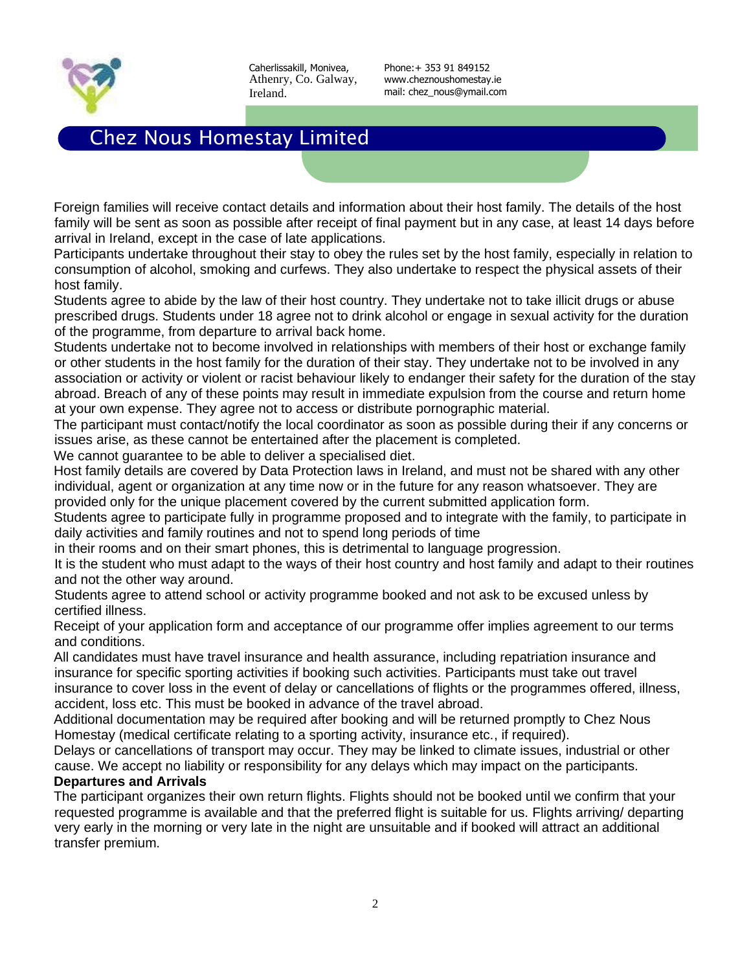

Phone:+ 353 91 849152 www.cheznoushomestay.ie mail: chez\_nous@ymail.com

## Chez Nous Homestay Limited

Foreign families will receive contact details and information about their host family. The details of the host family will be sent as soon as possible after receipt of final payment but in any case, at least 14 days before arrival in Ireland, except in the case of late applications.

Participants undertake throughout their stay to obey the rules set by the host family, especially in relation to consumption of alcohol, smoking and curfews. They also undertake to respect the physical assets of their host family.

Students agree to abide by the law of their host country. They undertake not to take illicit drugs or abuse prescribed drugs. Students under 18 agree not to drink alcohol or engage in sexual activity for the duration of the programme, from departure to arrival back home.

Students undertake not to become involved in relationships with members of their host or exchange family or other students in the host family for the duration of their stay. They undertake not to be involved in any association or activity or violent or racist behaviour likely to endanger their safety for the duration of the stay abroad. Breach of any of these points may result in immediate expulsion from the course and return home at your own expense. They agree not to access or distribute pornographic material.

The participant must contact/notify the local coordinator as soon as possible during their if any concerns or issues arise, as these cannot be entertained after the placement is completed.

We cannot guarantee to be able to deliver a specialised diet.

Host family details are covered by Data Protection laws in Ireland, and must not be shared with any other individual, agent or organization at any time now or in the future for any reason whatsoever. They are provided only for the unique placement covered by the current submitted application form.

Students agree to participate fully in programme proposed and to integrate with the family, to participate in daily activities and family routines and not to spend long periods of time

in their rooms and on their smart phones, this is detrimental to language progression.

It is the student who must adapt to the ways of their host country and host family and adapt to their routines and not the other way around.

Students agree to attend school or activity programme booked and not ask to be excused unless by certified illness.

Receipt of your application form and acceptance of our programme offer implies agreement to our terms and conditions.

All candidates must have travel insurance and health assurance, including repatriation insurance and insurance for specific sporting activities if booking such activities. Participants must take out travel insurance to cover loss in the event of delay or cancellations of flights or the programmes offered, illness, accident, loss etc. This must be booked in advance of the travel abroad.

Additional documentation may be required after booking and will be returned promptly to Chez Nous Homestay (medical certificate relating to a sporting activity, insurance etc., if required).

Delays or cancellations of transport may occur. They may be linked to climate issues, industrial or other cause. We accept no liability or responsibility for any delays which may impact on the participants.

### **Departures and Arrivals**

The participant organizes their own return flights. Flights should not be booked until we confirm that your requested programme is available and that the preferred flight is suitable for us. Flights arriving/ departing very early in the morning or very late in the night are unsuitable and if booked will attract an additional transfer premium.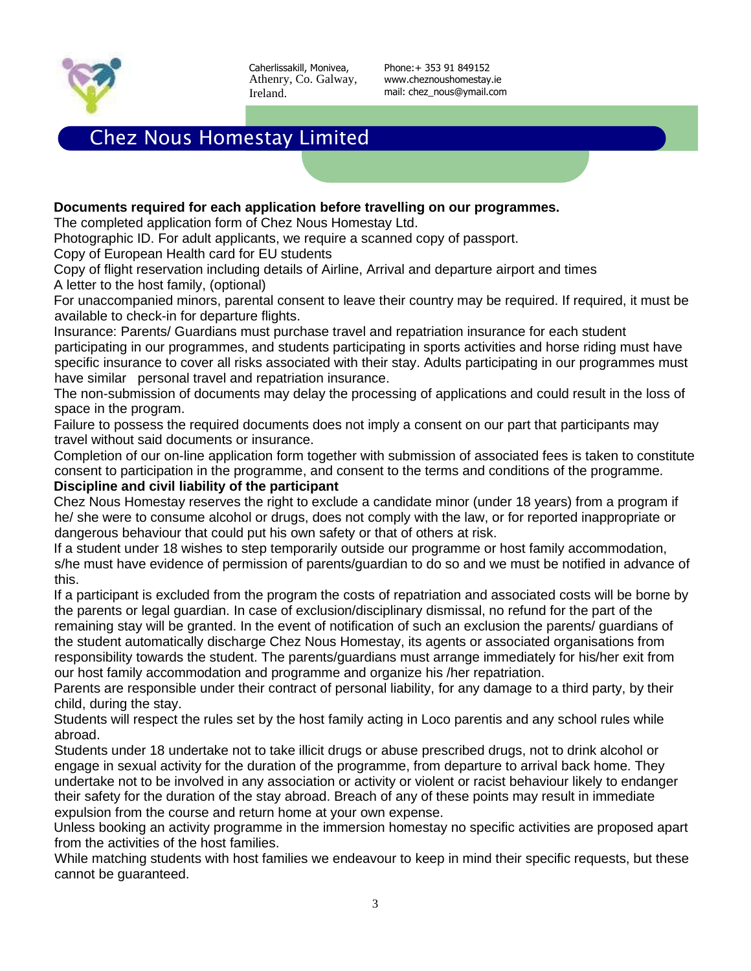

Phone:+ 353 91 849152 www.cheznoushomestay.ie mail: chez\_nous@ymail.com

# Chez Nous Homestay Limited

#### **Documents required for each application before travelling on our programmes.**

The completed application form of Chez Nous Homestay Ltd.

Photographic ID. For adult applicants, we require a scanned copy of passport.

Copy of European Health card for EU students

Copy of flight reservation including details of Airline, Arrival and departure airport and times A letter to the host family, (optional)

For unaccompanied minors, parental consent to leave their country may be required. If required, it must be available to check-in for departure flights.

Insurance: Parents/ Guardians must purchase travel and repatriation insurance for each student participating in our programmes, and students participating in sports activities and horse riding must have specific insurance to cover all risks associated with their stay. Adults participating in our programmes must have similar personal travel and repatriation insurance.

The non-submission of documents may delay the processing of applications and could result in the loss of space in the program.

Failure to possess the required documents does not imply a consent on our part that participants may travel without said documents or insurance.

Completion of our on-line application form together with submission of associated fees is taken to constitute consent to participation in the programme, and consent to the terms and conditions of the programme. **Discipline and civil liability of the participant** 

Chez Nous Homestay reserves the right to exclude a candidate minor (under 18 years) from a program if he/ she were to consume alcohol or drugs, does not comply with the law, or for reported inappropriate or dangerous behaviour that could put his own safety or that of others at risk.

If a student under 18 wishes to step temporarily outside our programme or host family accommodation, s/he must have evidence of permission of parents/guardian to do so and we must be notified in advance of this.

If a participant is excluded from the program the costs of repatriation and associated costs will be borne by the parents or legal guardian. In case of exclusion/disciplinary dismissal, no refund for the part of the remaining stay will be granted. In the event of notification of such an exclusion the parents/ guardians of the student automatically discharge Chez Nous Homestay, its agents or associated organisations from responsibility towards the student. The parents/guardians must arrange immediately for his/her exit from our host family accommodation and programme and organize his /her repatriation.

Parents are responsible under their contract of personal liability, for any damage to a third party, by their child, during the stay.

Students will respect the rules set by the host family acting in Loco parentis and any school rules while abroad.

Students under 18 undertake not to take illicit drugs or abuse prescribed drugs, not to drink alcohol or engage in sexual activity for the duration of the programme, from departure to arrival back home. They undertake not to be involved in any association or activity or violent or racist behaviour likely to endanger their safety for the duration of the stay abroad. Breach of any of these points may result in immediate expulsion from the course and return home at your own expense.

Unless booking an activity programme in the immersion homestay no specific activities are proposed apart from the activities of the host families.

While matching students with host families we endeavour to keep in mind their specific requests, but these cannot be guaranteed.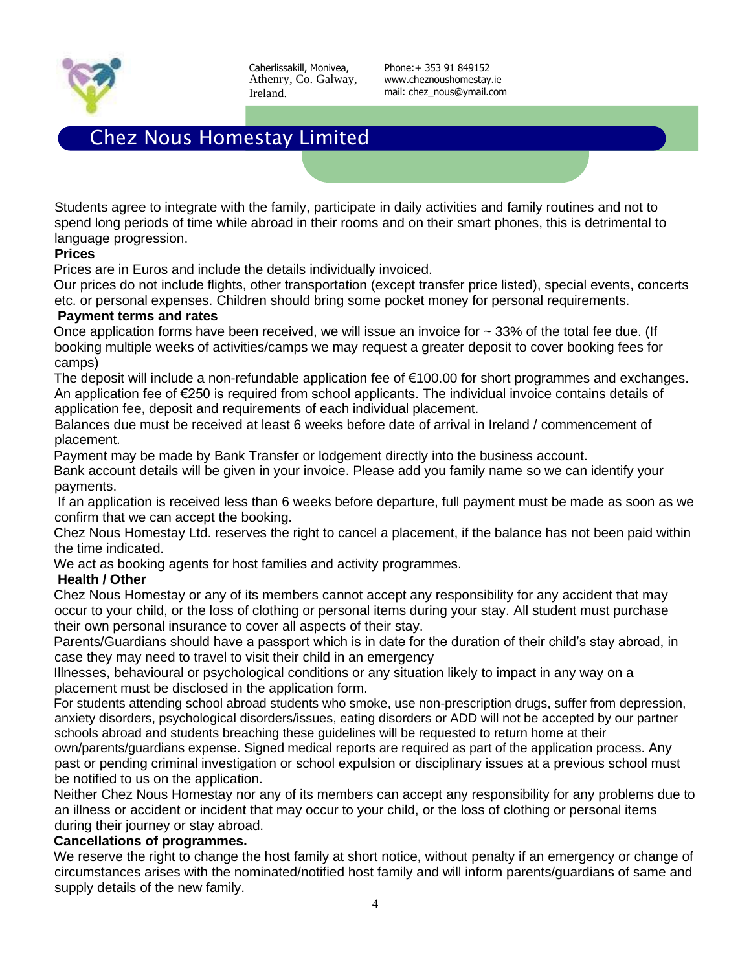

Phone:+ 353 91 849152 www.cheznoushomestay.ie mail: chez\_nous@ymail.com

# Chez Nous Homestay Limited

Students agree to integrate with the family, participate in daily activities and family routines and not to spend long periods of time while abroad in their rooms and on their smart phones, this is detrimental to language progression.

#### **Prices**

Prices are in Euros and include the details individually invoiced.

Our prices do not include flights, other transportation (except transfer price listed), special events, concerts etc. or personal expenses. Children should bring some pocket money for personal requirements.

#### **Payment terms and rates**

Once application forms have been received, we will issue an invoice for  $\sim$  33% of the total fee due. (If booking multiple weeks of activities/camps we may request a greater deposit to cover booking fees for camps)

The deposit will include a non-refundable application fee of €100.00 for short programmes and exchanges. An application fee of €250 is required from school applicants. The individual invoice contains details of application fee, deposit and requirements of each individual placement.

Balances due must be received at least 6 weeks before date of arrival in Ireland / commencement of placement.

Payment may be made by Bank Transfer or lodgement directly into the business account.

Bank account details will be given in your invoice. Please add you family name so we can identify your payments.

If an application is received less than 6 weeks before departure, full payment must be made as soon as we confirm that we can accept the booking.

Chez Nous Homestay Ltd. reserves the right to cancel a placement, if the balance has not been paid within the time indicated.

We act as booking agents for host families and activity programmes.

#### **Health / Other**

Chez Nous Homestay or any of its members cannot accept any responsibility for any accident that may occur to your child, or the loss of clothing or personal items during your stay. All student must purchase their own personal insurance to cover all aspects of their stay.

Parents/Guardians should have a passport which is in date for the duration of their child's stay abroad, in case they may need to travel to visit their child in an emergency

Illnesses, behavioural or psychological conditions or any situation likely to impact in any way on a placement must be disclosed in the application form.

For students attending school abroad students who smoke, use non-prescription drugs, suffer from depression, anxiety disorders, psychological disorders/issues, eating disorders or ADD will not be accepted by our partner schools abroad and students breaching these guidelines will be requested to return home at their

own/parents/guardians expense. Signed medical reports are required as part of the application process. Any past or pending criminal investigation or school expulsion or disciplinary issues at a previous school must be notified to us on the application.

Neither Chez Nous Homestay nor any of its members can accept any responsibility for any problems due to an illness or accident or incident that may occur to your child, or the loss of clothing or personal items during their journey or stay abroad.

#### **Cancellations of programmes.**

We reserve the right to change the host family at short notice, without penalty if an emergency or change of circumstances arises with the nominated/notified host family and will inform parents/guardians of same and supply details of the new family.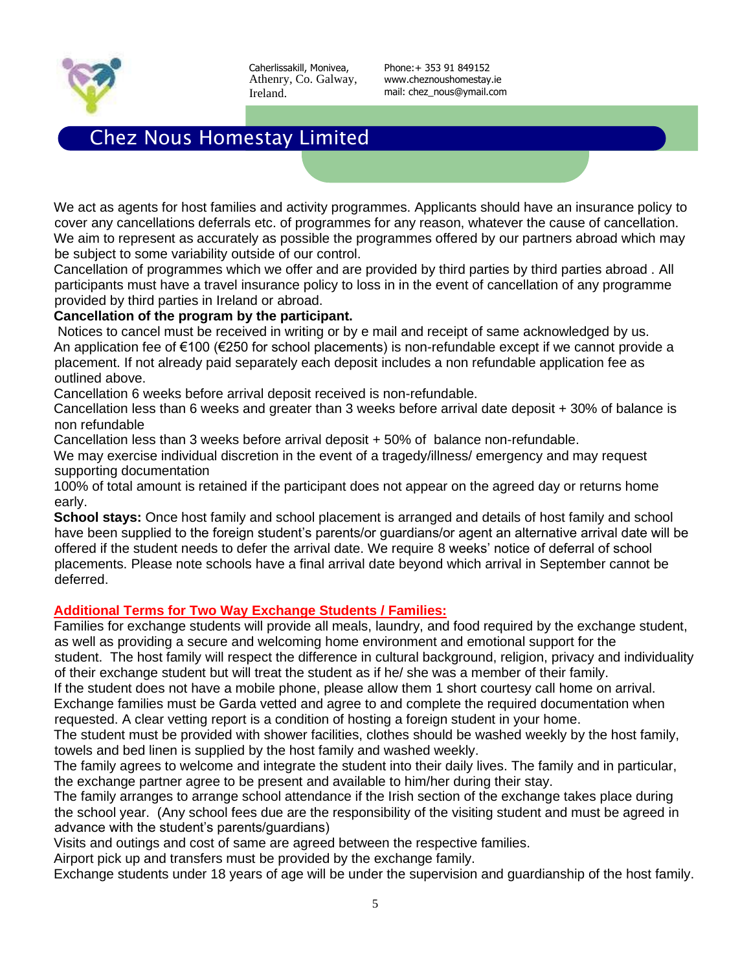

Phone:+ 353 91 849152 www.cheznoushomestay.ie mail: chez\_nous@ymail.com

# Chez Nous Homestay Limited

We act as agents for host families and activity programmes. Applicants should have an insurance policy to cover any cancellations deferrals etc. of programmes for any reason, whatever the cause of cancellation. We aim to represent as accurately as possible the programmes offered by our partners abroad which may be subject to some variability outside of our control.

Cancellation of programmes which we offer and are provided by third parties by third parties abroad . All participants must have a travel insurance policy to loss in in the event of cancellation of any programme provided by third parties in Ireland or abroad.

#### **Cancellation of the program by the participant.**

Notices to cancel must be received in writing or by e mail and receipt of same acknowledged by us. An application fee of €100 (€250 for school placements) is non-refundable except if we cannot provide a placement. If not already paid separately each deposit includes a non refundable application fee as outlined above.

Cancellation 6 weeks before arrival deposit received is non-refundable.

Cancellation less than 6 weeks and greater than 3 weeks before arrival date deposit + 30% of balance is non refundable

Cancellation less than 3 weeks before arrival deposit + 50% of balance non-refundable.

We may exercise individual discretion in the event of a tragedy/illness/ emergency and may request supporting documentation

100% of total amount is retained if the participant does not appear on the agreed day or returns home early.

**School stays:** Once host family and school placement is arranged and details of host family and school have been supplied to the foreign student's parents/or guardians/or agent an alternative arrival date will be offered if the student needs to defer the arrival date. We require 8 weeks' notice of deferral of school placements. Please note schools have a final arrival date beyond which arrival in September cannot be deferred.

### **Additional Terms for Two Way Exchange Students / Families:**

Families for exchange students will provide all meals, laundry, and food required by the exchange student, as well as providing a secure and welcoming home environment and emotional support for the student. The host family will respect the difference in cultural background, religion, privacy and individuality

of their exchange student but will treat the student as if he/ she was a member of their family.

If the student does not have a mobile phone, please allow them 1 short courtesy call home on arrival. Exchange families must be Garda vetted and agree to and complete the required documentation when requested. A clear vetting report is a condition of hosting a foreign student in your home.

The student must be provided with shower facilities, clothes should be washed weekly by the host family, towels and bed linen is supplied by the host family and washed weekly.

The family agrees to welcome and integrate the student into their daily lives. The family and in particular, the exchange partner agree to be present and available to him/her during their stay.

The family arranges to arrange school attendance if the Irish section of the exchange takes place during the school year. (Any school fees due are the responsibility of the visiting student and must be agreed in advance with the student's parents/guardians)

Visits and outings and cost of same are agreed between the respective families.

Airport pick up and transfers must be provided by the exchange family.

Exchange students under 18 years of age will be under the supervision and guardianship of the host family.